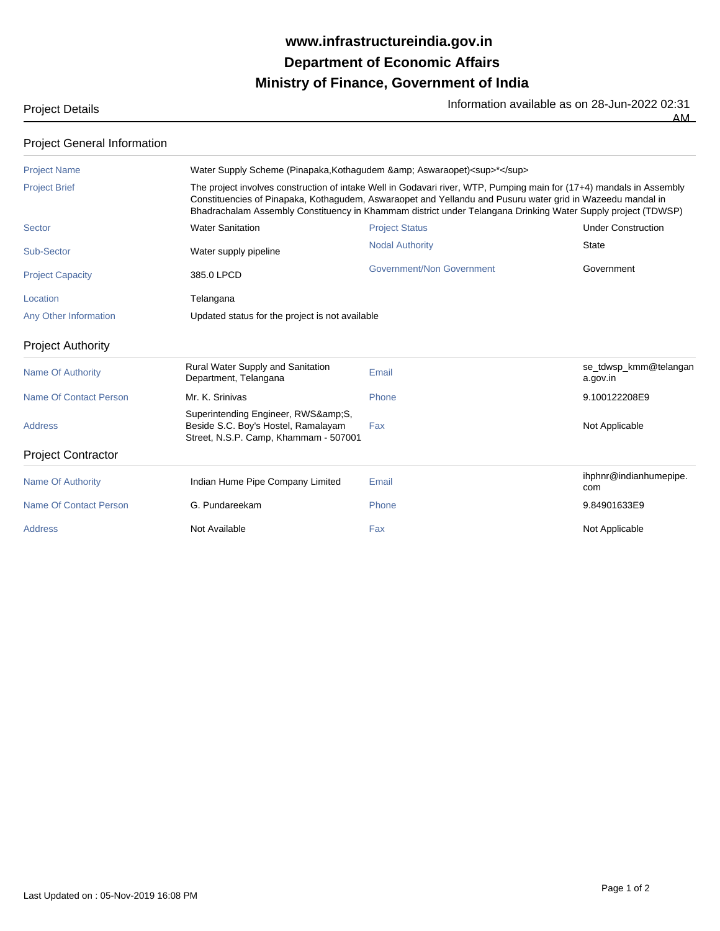## **Ministry of Finance, Government of India Department of Economic Affairs www.infrastructureindia.gov.in**

Project Details **Information available as on 28-Jun-2022 02:31** Information available as on 28-Jun-2022 02:31

AM

| <b>Project General Information</b> |                                                                                                                                                                                                                                                                                                                                                    |                                  |                                   |  |
|------------------------------------|----------------------------------------------------------------------------------------------------------------------------------------------------------------------------------------------------------------------------------------------------------------------------------------------------------------------------------------------------|----------------------------------|-----------------------------------|--|
| <b>Project Name</b>                | Water Supply Scheme (Pinapaka, Kothagudem & amp; Aswaraopet) <sup>*</sup>                                                                                                                                                                                                                                                                          |                                  |                                   |  |
| <b>Project Brief</b>               | The project involves construction of intake Well in Godavari river, WTP, Pumping main for (17+4) mandals in Assembly<br>Constituencies of Pinapaka, Kothagudem, Aswaraopet and Yellandu and Pusuru water grid in Wazeedu mandal in<br>Bhadrachalam Assembly Constituency in Khammam district under Telangana Drinking Water Supply project (TDWSP) |                                  |                                   |  |
| <b>Sector</b>                      | <b>Water Sanitation</b>                                                                                                                                                                                                                                                                                                                            | <b>Project Status</b>            | <b>Under Construction</b>         |  |
| Sub-Sector                         | Water supply pipeline                                                                                                                                                                                                                                                                                                                              | <b>Nodal Authority</b>           | State                             |  |
| <b>Project Capacity</b>            | 385.0 LPCD                                                                                                                                                                                                                                                                                                                                         | <b>Government/Non Government</b> | Government                        |  |
| Location                           | Telangana                                                                                                                                                                                                                                                                                                                                          |                                  |                                   |  |
| Any Other Information              | Updated status for the project is not available                                                                                                                                                                                                                                                                                                    |                                  |                                   |  |
| <b>Project Authority</b>           |                                                                                                                                                                                                                                                                                                                                                    |                                  |                                   |  |
| <b>Name Of Authority</b>           | Rural Water Supply and Sanitation<br>Department, Telangana                                                                                                                                                                                                                                                                                         | Email                            | se_tdwsp_kmm@telangan<br>a.gov.in |  |
| Name Of Contact Person             | Mr. K. Srinivas                                                                                                                                                                                                                                                                                                                                    | Phone                            | 9.100122208E9                     |  |
| <b>Address</b>                     | Superintending Engineer, RWS&S,<br>Beside S.C. Boy's Hostel, Ramalayam<br>Street, N.S.P. Camp, Khammam - 507001                                                                                                                                                                                                                                    | Fax                              | Not Applicable                    |  |
| <b>Project Contractor</b>          |                                                                                                                                                                                                                                                                                                                                                    |                                  |                                   |  |
| <b>Name Of Authority</b>           | Indian Hume Pipe Company Limited                                                                                                                                                                                                                                                                                                                   | Email                            | ihphnr@indianhumepipe.<br>com     |  |
| Name Of Contact Person             | G. Pundareekam                                                                                                                                                                                                                                                                                                                                     | Phone                            | 9.84901633E9                      |  |
| Address                            | Not Available                                                                                                                                                                                                                                                                                                                                      | Fax                              | Not Applicable                    |  |
|                                    |                                                                                                                                                                                                                                                                                                                                                    |                                  |                                   |  |